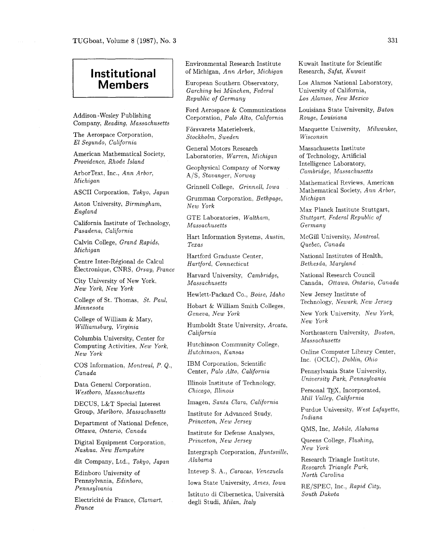## **Institutional Members**

*Addison -Wesley Publishing Company, Reading, Massachusetts* 

*The Aerospace Corporation, El Segundo, California* 

*American Mathematical Society, Providence, Rhode Island* 

*ArborText, Inc., Ann Arbor, Michigan* 

*ASCII Corporation, Tokyo, Japan* 

*Aston University, Birmingham, England* 

*California Institute of Technology, Pasadena, California* 

*Calvin College, Grand Rapids, Michigan* 

Centre Inter-Régional de Calcul *~lectronique, CNRS, Orsay, France* 

*City University of New York, New York, New York* 

*College of St. Thomas, St. Paul. Minnesota* 

*College of William* & *Mary, Wzlliamsburg, Virginia* 

*Columbia University, Center for Computing Activities, New York, New York* 

*COS Information, Montreal, P. Q., Canada* 

*Data General Corporation. Westboro, Massachusetts* 

*DECUS, L&T Special Interest Group, Marlboro, Massachusetts* 

*Department of National Defence, Ottawa, Ontario, Canada* 

*Digital Equipment Corporation, Nashua, New Hampshire* 

*dit Company, Ltd., Tokyo, Japan* 

*Edinboro University of Pennsylvania, Edinboro, Pennsylvania* 

*Electricit6 de France, Clamart, France* 

*Environmental Research Institute of Michigan, Ann Arbor, Michigan* 

*European Southern Observatory, Garching bei Munchen, Federal Republic of Germany* 

*Ford Aerospace* & *Communications Corporation, Palo Alto, California* 

*Forsvarets Materielverk, Stockholm, Sweden* 

*General Motors Research Laboratories, Warren, Michigan* 

*Geophysical Company of Norway A/S, Stavanger, Norway* 

*Grinnell College. Grinnell, Iowa* 

*Grumman Corporation, Bethpage, New York* 

*GTE Laboratories, Waltham, Massachusetts* 

*Hart Information Systems, Austin, Texas* 

*Hartford Graduate Center, Hartford, Connecticut* 

*Harvard University, Cambridge, Massachusetts* 

*Hewlett-Packard Co., Boise, Idaho* 

*Hobart* & *William Smith Colleges, Geneva, New York* 

*Humboldt State University, Arcata, California* 

*Hutchinson Community College. Hutchinson, Kansas* 

*IBM Corporation, Scientific Center, Palo Alto, California* 

*Illinois Institute of Technology, Chicago, Illinois* 

*Imagen, Santa Clara, California* 

*Institute for Advanced Study, Princeton, New Jersey* 

*Institute for Defense Analyses, Princeton, New Jersey* 

*Intergraph Corporation, Huntsville, Alabama* 

*Intevep S.* **A,,** *Caracas, Venezuela* 

*Iowa State University, Ames, Iowa* 

*Istituto di Cibernetica, Universita degli Studi, Milan, Italy* 

*Kuwait Institute for Scientific Research, Safat, Kuwait* 

*Los Alamos National Laboratory, University of California, Los Alamos, New Mexico* 

*Louisiana State University, Baton Rouge, Louisiana* 

*Marquette University, Milwaukee, Wisconsin* 

*Massachusetts Institute of Technology, Artificial Intelligence Laboratory, Cambridge, Massachusetts* 

*Mathematical Reviews, American Mathematical Society, Ann Arbor, Michigan* 

*Max Planck Institute Stuttgart, Stuttgart, Federal Republic of Germany* 

*McGill University, Montreal, Quebec, Canada* 

*National Institutes of Health, Bethesda, Maryland* 

*National Research Council Canada, Ottawa, Ontario, Canada* 

*New Jersey Institute of Technology, Newark, New Jersey* 

*New York University. New York, New York* 

*Northeastern University, Boston, Massachusetts* 

*Online Computer Library Center,*  Inc. (OCLC), Dublin, Ohio

*Pennsylvania State University, Unzversity Park. Pennsylvania* 

Personal TEX, Incorporated, *Mill Valley, Calzfornia* 

*Purdue University, West Lafayette, Indiana* 

*QMS, Inc, Mobile, Alabama* 

*Queens College, Flushing, New York* 

*Research Triangle Institute, Research Triangle Park, North Carolina* 

*RE/SPEC, Inc., Rapid City, South Dakota*